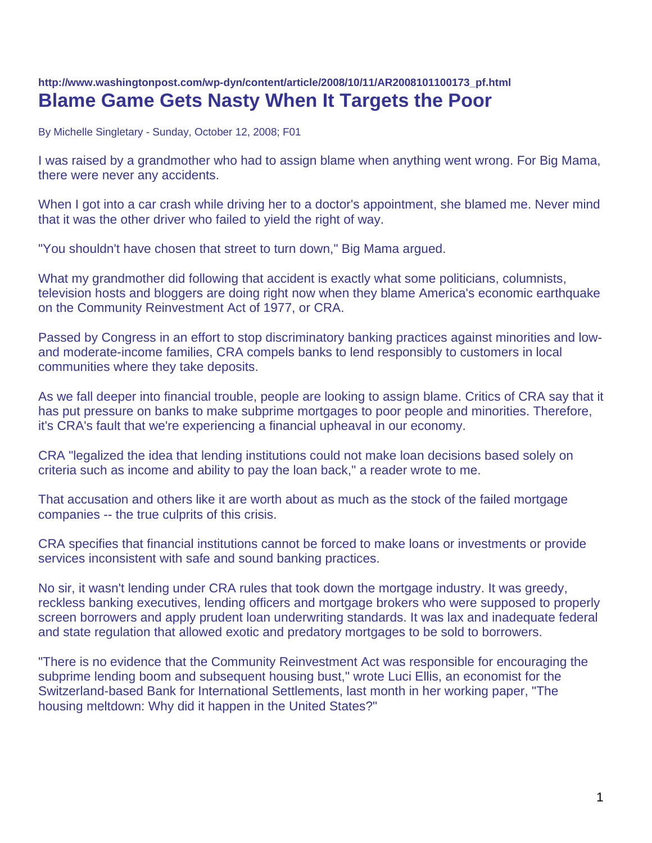## **http://www.washingtonpost.com/wp-dyn/content/article/2008/10/11/AR2008101100173\_pf.html Blame Game Gets Nasty When It Targets the Poor**

By Michelle Singletary - Sunday, October 12, 2008; F01

I was raised by a grandmother who had to assign blame when anything went wrong. For Big Mama, there were never any accidents.

When I got into a car crash while driving her to a doctor's appointment, she blamed me. Never mind that it was the other driver who failed to yield the right of way.

"You shouldn't have chosen that street to turn down," Big Mama argued.

What my grandmother did following that accident is exactly what some politicians, columnists, television hosts and bloggers are doing right now when they blame America's economic earthquake on the Community Reinvestment Act of 1977, or CRA.

Passed by Congress in an effort to stop discriminatory banking practices against minorities and lowand moderate-income families, CRA compels banks to lend responsibly to customers in local communities where they take deposits.

As we fall deeper into financial trouble, people are looking to assign blame. Critics of CRA say that it has put pressure on banks to make subprime mortgages to poor people and minorities. Therefore, it's CRA's fault that we're experiencing a financial upheaval in our economy.

CRA "legalized the idea that lending institutions could not make loan decisions based solely on criteria such as income and ability to pay the loan back," a reader wrote to me.

That accusation and others like it are worth about as much as the stock of the failed mortgage companies -- the true culprits of this crisis.

CRA specifies that financial institutions cannot be forced to make loans or investments or provide services inconsistent with safe and sound banking practices.

No sir, it wasn't lending under CRA rules that took down the mortgage industry. It was greedy, reckless banking executives, lending officers and mortgage brokers who were supposed to properly screen borrowers and apply prudent loan underwriting standards. It was lax and inadequate federal and state regulation that allowed exotic and predatory mortgages to be sold to borrowers.

"There is no evidence that the Community Reinvestment Act was responsible for encouraging the subprime lending boom and subsequent housing bust," wrote Luci Ellis, an economist for the Switzerland-based Bank for International Settlements, last month in her working paper, "The housing meltdown: Why did it happen in the United States?"